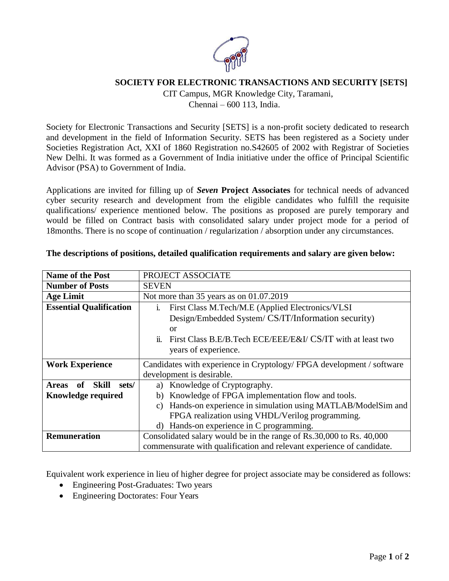

## **SOCIETY FOR ELECTRONIC TRANSACTIONS AND SECURITY [SETS]**

CIT Campus, MGR Knowledge City, Taramani,

Chennai – 600 113, India.

Society for Electronic Transactions and Security [SETS] is a non-profit society dedicated to research and development in the field of Information Security. SETS has been registered as a Society under Societies Registration Act, XXI of 1860 Registration no.S42605 of 2002 with Registrar of Societies New Delhi. It was formed as a Government of India initiative under the office of Principal Scientific Advisor (PSA) to Government of India.

Applications are invited for filling up of *Seven* **Project Associates** for technical needs of advanced cyber security research and development from the eligible candidates who fulfill the requisite qualifications/ experience mentioned below. The positions as proposed are purely temporary and would be filled on Contract basis with consolidated salary under project mode for a period of 18months. There is no scope of continuation / regularization / absorption under any circumstances.

| <b>Name of the Post</b>                     | PROJECT ASSOCIATE                                                                    |
|---------------------------------------------|--------------------------------------------------------------------------------------|
| <b>Number of Posts</b>                      | <b>SEVEN</b>                                                                         |
| <b>Age Limit</b>                            | Not more than 35 years as on 01.07.2019                                              |
| <b>Essential Qualification</b>              | First Class M.Tech/M.E (Applied Electronics/VLSI<br>$\mathbf{1}$                     |
|                                             | Design/Embedded System/ CS/IT/Information security)                                  |
|                                             | <sub>or</sub>                                                                        |
|                                             | $\ddot{\mathbf{i}}$ .<br>First Class B.E/B.Tech ECE/EEE/E&I/ CS/IT with at least two |
|                                             | years of experience.                                                                 |
| <b>Work Experience</b>                      | Candidates with experience in Cryptology/FPGA development / software                 |
|                                             | development is desirable.                                                            |
| <b>Skill</b><br>0f<br><b>Areas</b><br>sets/ | a) Knowledge of Cryptography.                                                        |
| <b>Knowledge required</b>                   | Knowledge of FPGA implementation flow and tools.<br>b)                               |
|                                             | Hands-on experience in simulation using MATLAB/ModelSim and<br>$\mathcal{C}$ )       |
|                                             | FPGA realization using VHDL/Verilog programming.                                     |
|                                             | d) Hands-on experience in C programming.                                             |
| <b>Remuneration</b>                         | Consolidated salary would be in the range of Rs.30,000 to Rs. 40,000                 |
|                                             | commensurate with qualification and relevant experience of candidate.                |

## **The descriptions of positions, detailed qualification requirements and salary are given below:**

Equivalent work experience in lieu of higher degree for project associate may be considered as follows:

- Engineering Post-Graduates: Two years
- Engineering Doctorates: Four Years